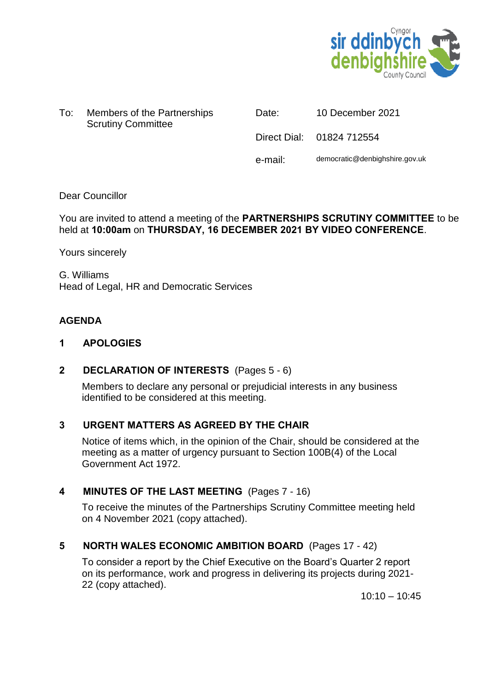

To: Members of the Partnerships Scrutiny Committee

Date: 10 December 2021

Direct Dial: 01824 712554

e-mail: democratic@denbighshire.gov.uk

## Dear Councillor

## You are invited to attend a meeting of the **PARTNERSHIPS SCRUTINY COMMITTEE** to be held at **10:00am** on **THURSDAY, 16 DECEMBER 2021 BY VIDEO CONFERENCE**.

Yours sincerely

G. Williams Head of Legal, HR and Democratic Services

## **AGENDA**

## **1 APOLOGIES**

## **2 DECLARATION OF INTERESTS** (Pages 5 - 6)

Members to declare any personal or prejudicial interests in any business identified to be considered at this meeting.

## **3 URGENT MATTERS AS AGREED BY THE CHAIR**

Notice of items which, in the opinion of the Chair, should be considered at the meeting as a matter of urgency pursuant to Section 100B(4) of the Local Government Act 1972.

## **4 MINUTES OF THE LAST MEETING** (Pages 7 - 16)

To receive the minutes of the Partnerships Scrutiny Committee meeting held on 4 November 2021 (copy attached).

## **5 NORTH WALES ECONOMIC AMBITION BOARD** (Pages 17 - 42)

To consider a report by the Chief Executive on the Board's Quarter 2 report on its performance, work and progress in delivering its projects during 2021- 22 (copy attached).

 $10:10 - 10:45$